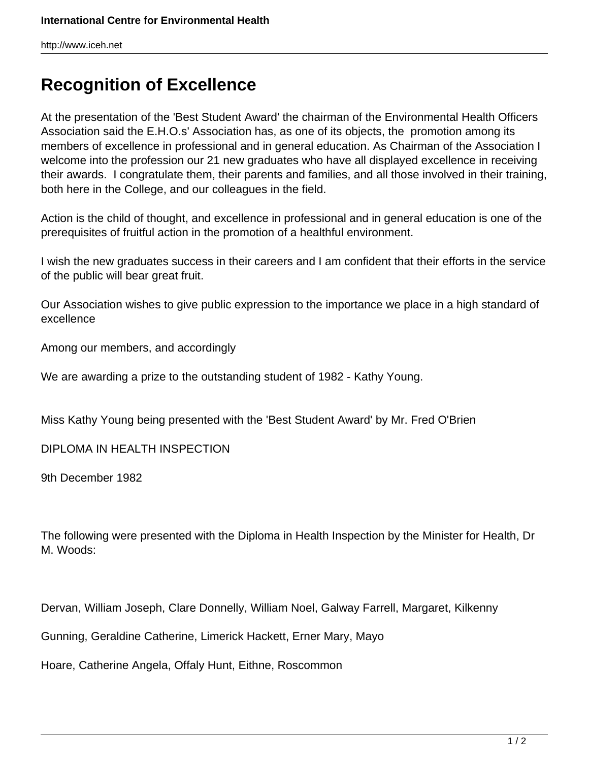http://www.iceh.net

## **Recognition of Excellence**

At the presentation of the 'Best Student Award' the chairman of the Environmental Health Officers Association said the E.H.O.s' Association has, as one of its objects, the promotion among its members of excellence in professional and in general education. As Chairman of the Association I welcome into the profession our 21 new graduates who have all displayed excellence in receiving their awards. I congratulate them, their parents and families, and all those involved in their training, both here in the College, and our colleagues in the field.

Action is the child of thought, and excellence in professional and in general education is one of the prerequisites of fruitful action in the promotion of a healthful environment.

I wish the new graduates success in their careers and I am confident that their efforts in the service of the public will bear great fruit.

Our Association wishes to give public expression to the importance we place in a high standard of excellence

Among our members, and accordingly

We are awarding a prize to the outstanding student of 1982 - Kathy Young.

Miss Kathy Young being presented with the 'Best Student Award' by Mr. Fred O'Brien

DIPLOMA IN HEALTH INSPECTION

9th December 1982

The following were presented with the Diploma in Health Inspection by the Minister for Health, Dr M. Woods:

Dervan, William Joseph, Clare Donnelly, William Noel, Galway Farrell, Margaret, Kilkenny

Gunning, Geraldine Catherine, Limerick Hackett, Erner Mary, Mayo

Hoare, Catherine Angela, Offaly Hunt, Eithne, Roscommon